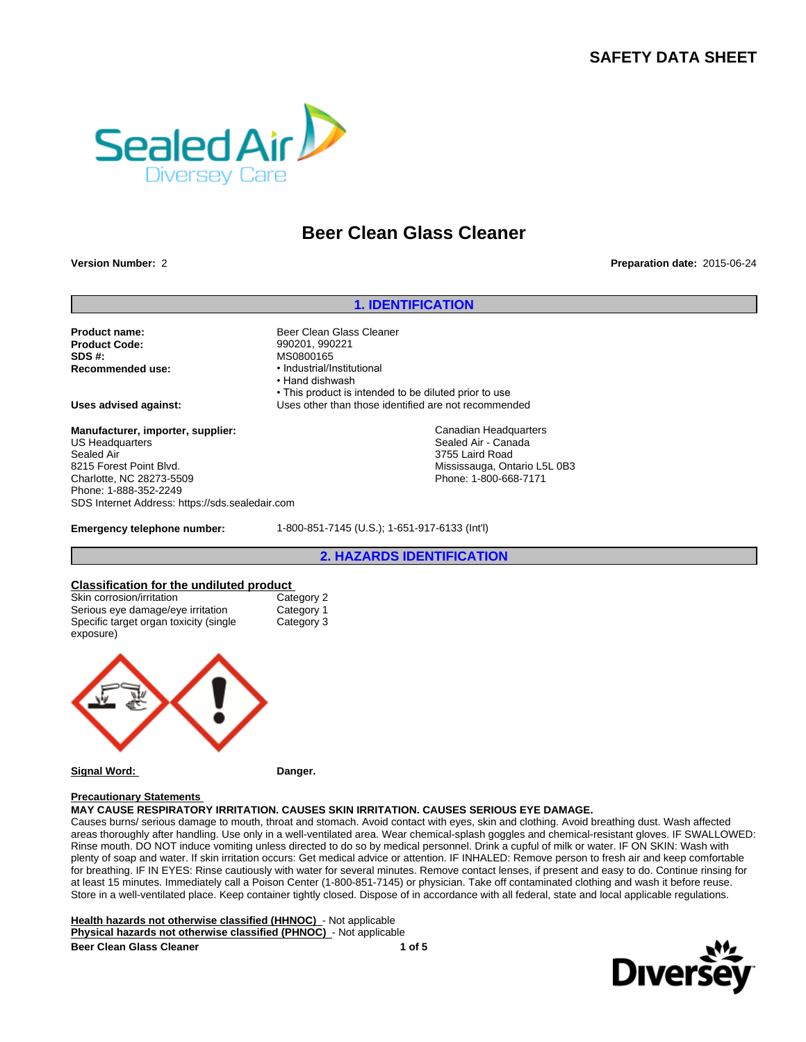# **SAFETY DATA SHEET**



# **Beer Clean Glass Cleaner**

**Version Number:** 2 **Preparation date:** 2015-06-24

#### **1. IDENTIFICATION**

**Product name:** Beer Clean Glass Cleaner **Product Code:** 990201, 990221 **SDS #:** MS0800165<br> **Recommended use:** MS0800165

• Industrial/Institutional • Hand dishwash • This product is intended to be diluted prior to use **Uses advised against:** Uses other than those identified are not recommended

> Canadian Headquarters Sealed Air - Canada 3755 Laird Road Mississauga, Ontario L5L 0B3 Phone: 1-800-668-7171

**Manufacturer, importer, supplier:** US Headquarters Sealed Air 8215 Forest Point Blvd. Charlotte, NC 28273-5509 Phone: 1-888-352-2249 SDS Internet Address: https://sds.sealedair.com

**Emergency telephone number:** 1-800-851-7145 (U.S.); 1-651-917-6133 (Int'l)

# **2. HAZARDS IDENTIFICATION**

# **Classification for the undiluted product**<br>
Skin corrosion/irritation<br>
Category 2

Skin corrosion/irritation Serious eye damage/eye irritation Category 1 Specific target organ toxicity (single exposure)



#### **Signal Word: Danger.**

Category 3

#### **Precautionary Statements**

**MAY CAUSE RESPIRATORY IRRITATION. CAUSES SKIN IRRITATION. CAUSES SERIOUS EYE DAMAGE.**

Causes burns/ serious damage to mouth, throat and stomach. Avoid contact with eyes, skin and clothing. Avoid breathing dust. Wash affected areas thoroughly after handling. Use only in a well-ventilated area. Wear chemical-splash goggles and chemical-resistant gloves. IF SWALLOWED: Rinse mouth. DO NOT induce vomiting unless directed to do so by medical personnel. Drink a cupful of milk or water. IF ON SKIN: Wash with plenty of soap and water. If skin irritation occurs: Get medical advice or attention. IF INHALED: Remove person to fresh air and keep comfortable for breathing. IF IN EYES: Rinse cautiously with water for several minutes. Remove contact lenses, if present and easy to do. Continue rinsing for at least 15 minutes. Immediately call a Poison Center (1-800-851-7145) or physician. Take off contaminated clothing and wash it before reuse. Store in a well-ventilated place. Keep container tightly closed. Dispose of in accordance with all federal, state and local applicable regulations.

**Health hazards not otherwise classified (HHNOC)** - Not applicable **Physical hazards not otherwise classified (PHNOC)** - Not applicable **Beer Clean Glass Cleaner 1 of 5**

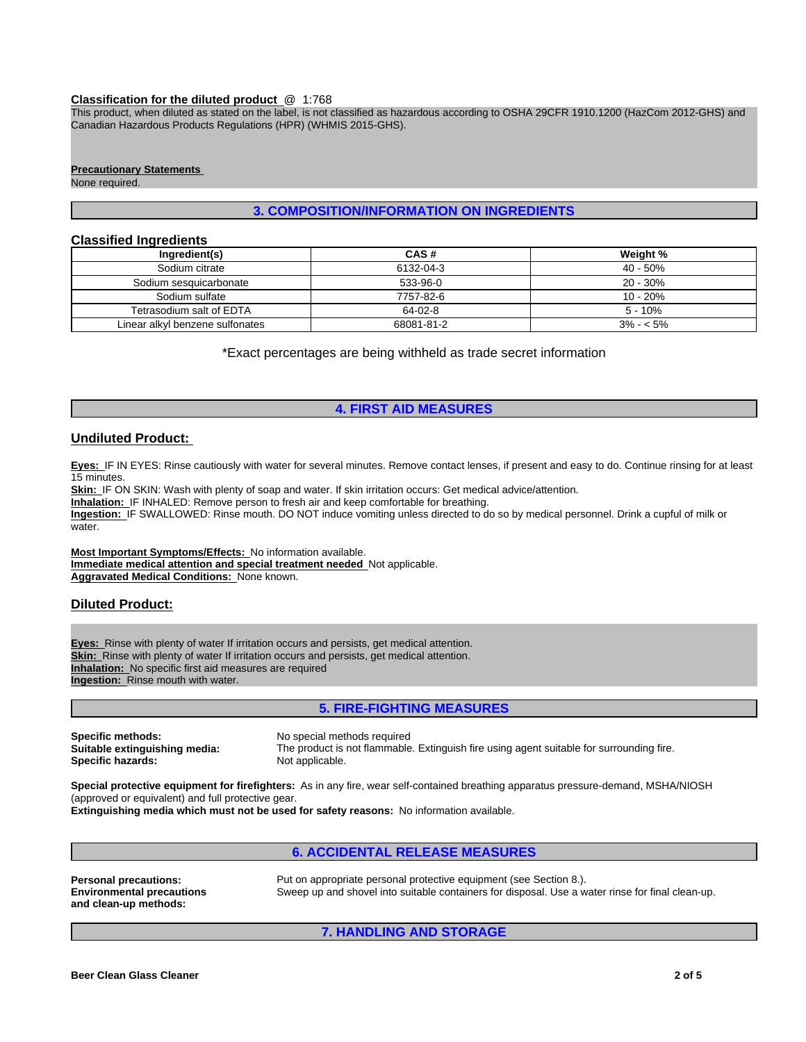#### **Classification for the diluted product** @ 1:768

This product, when diluted as stated on the label, is not classified as hazardous according to OSHA 29CFR 1910.1200 (HazCom 2012-GHS) and Canadian Hazardous Products Regulations (HPR) (WHMIS 2015-GHS).

#### **Precautionary Statements**

None required.

# **3. COMPOSITION/INFORMATION ON INGREDIENTS**

#### **Classified Ingredients**

| Ingredient(s)                   | CAS#       | Weight %    |
|---------------------------------|------------|-------------|
| Sodium citrate                  | 6132-04-3  | 40 - 50%    |
| Sodium sesquicarbonate          | 533-96-0   | 20 - 30%    |
| Sodium sulfate                  | 7757-82-6  | 10 - 20%    |
| Tetrasodium salt of EDTA        | 64-02-8    | $5 - 10%$   |
| Linear alkyl benzene sulfonates | 68081-81-2 | $3\% - 5\%$ |

\*Exact percentages are being withheld as trade secret information

# **4. FIRST AID MEASURES**

# **Undiluted Product:**

**Eyes:** IF IN EYES: Rinse cautiously with water for several minutes. Remove contact lenses, if present and easy to do. Continue rinsing for at least 15 minutes.

**Skin:** IF ON SKIN: Wash with plenty of soap and water. If skin irritation occurs: Get medical advice/attention.

**Inhalation:** IF INHALED: Remove person to fresh air and keep comfortable for breathing.

**Ingestion:** IF SWALLOWED: Rinse mouth. DO NOT induce vomiting unless directed to do so by medical personnel. Drink a cupful of milk or water

**Most Important Symptoms/Effects:** No information available. **Immediate medical attention and special treatment needed** Not applicable. **Aggravated Medical Conditions:** None known.

# **Diluted Product:**

**Eyes:** Rinse with plenty of water If irritation occurs and persists, get medical attention. **Skin:** Rinse with plenty of water If irritation occurs and persists, get medical attention. **Inhalation:** No specific first aid measures are required **Ingestion:** Rinse mouth with water.

# **5. FIRE-FIGHTING MEASURES**

**Specific methods:** No special methods required<br> **Suitable extinguishing media:** The product is not flammable **Specific hazards:** 

The product is not flammable. Extinguish fire using agent suitable for surrounding fire.<br>Not applicable.

**Special protective equipment for firefighters:** As in any fire, wear self-contained breathing apparatus pressure-demand, MSHA/NIOSH (approved or equivalent) and full protective gear.

**Extinguishing media which must not be used for safety reasons:** No information available.

# **6. ACCIDENTAL RELEASE MEASURES**

**Environmental precautions and clean-up methods:**

**Personal precautions:** Put on appropriate personal protective equipment (see Section 8.). Sweep up and shovel into suitable containers for disposal. Use a water rinse for final clean-up.

**7. HANDLING AND STORAGE**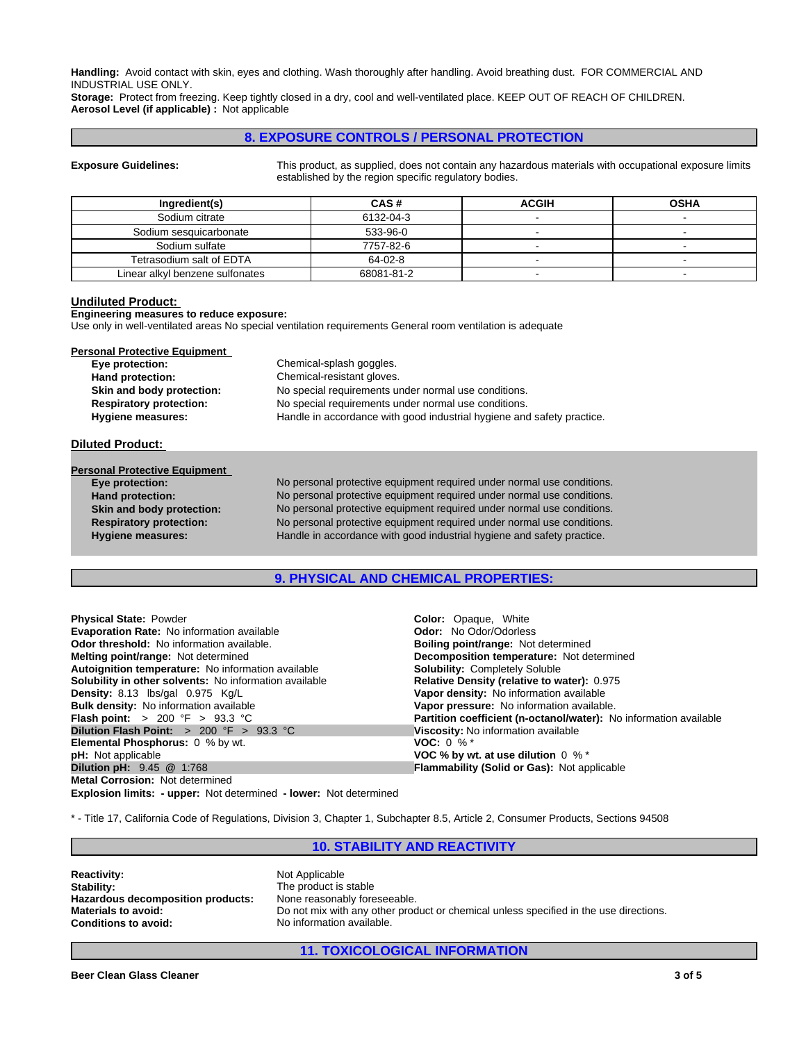**Handling:** Avoid contact with skin, eyes and clothing. Wash thoroughly after handling. Avoid breathing dust. FOR COMMERCIAL AND INDUSTRIAL USE ONLY.

**Storage:** Protect from freezing. Keep tightly closed in a dry, cool and well-ventilated place. KEEP OUT OF REACH OF CHILDREN. **Aerosol Level (if applicable) :** Not applicable

## **8. EXPOSURE CONTROLS / PERSONAL PROTECTION**

**Exposure Guidelines:** This product, as supplied, does not contain any hazardous materials with occupational exposure limits established by the region specific regulatory bodies.

| Ingredient(s)                   | CAS#       | <b>ACGIH</b> | <b>OSHA</b> |
|---------------------------------|------------|--------------|-------------|
| Sodium citrate                  | 6132-04-3  |              |             |
| Sodium sesquicarbonate          | 533-96-0   |              |             |
| Sodium sulfate                  | 7757-82-6  |              |             |
| Tetrasodium salt of EDTA        | 64-02-8    |              |             |
| Linear alkyl benzene sulfonates | 68081-81-2 |              |             |

#### **Undiluted Product:**

**Engineering measures to reduce exposure:**

Use only in well-ventilated areas No special ventilation requirements General room ventilation is adequate

| <b>Personal Protective Equipment</b> |                                                                        |
|--------------------------------------|------------------------------------------------------------------------|
| Eye protection:                      | Chemical-splash goggles.                                               |
| Hand protection:                     | Chemical-resistant gloves.                                             |
| Skin and body protection:            | No special requirements under normal use conditions.                   |
| <b>Respiratory protection:</b>       | No special requirements under normal use conditions.                   |
| Hygiene measures:                    | Handle in accordance with good industrial hygiene and safety practice. |

#### **Diluted Product:**

| <b>Personal Protective Equipment</b> |                                                                        |
|--------------------------------------|------------------------------------------------------------------------|
| Eye protection:                      | No personal protective equipment required under normal use conditions. |
| Hand protection:                     | No personal protective equipment required under normal use conditions. |
| Skin and body protection:            | No personal protective equipment required under normal use conditions. |
| <b>Respiratory protection:</b>       | No personal protective equipment required under normal use conditions. |
| <b>Hygiene measures:</b>             | Handle in accordance with good industrial hygiene and safety practice. |

# **9. PHYSICAL AND CHEMICAL PROPERTIES:**

| <b>Physical State: Powder</b>                                | <b>Color:</b> Opaque, White                                       |
|--------------------------------------------------------------|-------------------------------------------------------------------|
| <b>Evaporation Rate: No information available</b>            | <b>Odor:</b> No Odor/Odorless                                     |
| <b>Odor threshold:</b> No information available.             | <b>Boiling point/range: Not determined</b>                        |
| <b>Melting point/range: Not determined</b>                   | <b>Decomposition temperature:</b> Not determined                  |
| Autoignition temperature: No information available           | <b>Solubility: Completely Soluble</b>                             |
| Solubility in other solvents: No information available       | Relative Density (relative to water): 0.975                       |
| Density: 8.13 lbs/gal 0.975 Kg/L                             | Vapor density: No information available                           |
| <b>Bulk density:</b> No information available                | Vapor pressure: No information available.                         |
| <b>Flash point:</b> $> 200 \, \text{°F} > 93.3 \, \text{°C}$ | Partition coefficient (n-octanol/water): No information available |
| <b>Dilution Flash Point:</b> $>200$ °F $>93.3$ °C            | Viscosity: No information available                               |
| <b>Elemental Phosphorus:</b> 0 % by wt.                      | <b>VOC:</b> 0 % $*$                                               |
| <b>pH:</b> Not applicable                                    | VOC % by wt. at use dilution $0\%$ *                              |
| <b>Dilution pH:</b> 9.45 @ 1:768                             | <b>Flammability (Solid or Gas): Not applicable</b>                |
| <b>Metal Corrosion: Not determined</b>                       |                                                                   |

**Explosion limits: - upper:** Not determined **- lower:** Not determined

\* - Title 17, California Code of Regulations, Division 3, Chapter 1, Subchapter 8.5, Article 2, Consumer Products, Sections 94508

## **10. STABILITY AND REACTIVITY**

| <b>Reactivity:</b>                | ٨ |
|-----------------------------------|---|
| Stability:                        |   |
| Hazardous decomposition products: | ٨ |
| <b>Materials to avoid:</b>        |   |
| <b>Conditions to avoid:</b>       | Ν |

**Roach** Applicable **The product is stable Hone reasonably foreseeable. Materials to avoid:** Do not mix with any other product or chemical unless specified in the use directions. **Vo information available.** 

**11. TOXICOLOGICAL INFORMATION**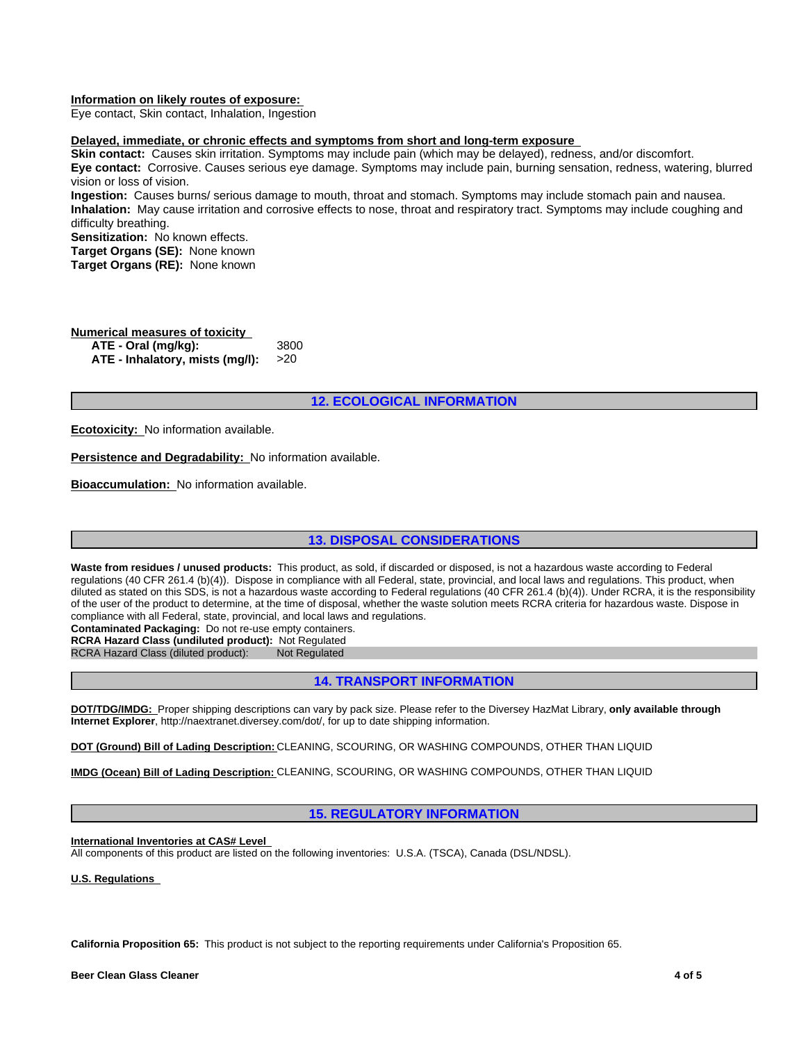#### **Information on likely routes of exposure:**

Eye contact, Skin contact, Inhalation, Ingestion

# **Delayed, immediate, or chronic effects and symptoms from short and long-term exposure**

**Skin contact:** Causes skin irritation. Symptoms may include pain (which may be delayed), redness, and/or discomfort. **Eye contact:** Corrosive. Causes serious eye damage. Symptoms may include pain, burning sensation, redness, watering, blurred vision or loss of vision.

**Ingestion:** Causes burns/ serious damage to mouth, throat and stomach. Symptoms may include stomach pain and nausea. **Inhalation:** May cause irritation and corrosive effects to nose, throat and respiratory tract. Symptoms may include coughing and difficulty breathing.

**Sensitization:** No known effects. **Target Organs (SE):** None known **Target Organs (RE):** None known

# **Numerical measures of toxicity**

**ATE - Oral (mg/kg): ATE - Inhalatory, mists (mg/l):** >20

## **12. ECOLOGICAL INFORMATION**

**Ecotoxicity:** No information available.

**Persistence and Degradability:** No information available.

**Bioaccumulation:** No information available.

# **13. DISPOSAL CONSIDERATIONS**

**Waste from residues / unused products:** This product, as sold, if discarded or disposed, is not a hazardous waste according to Federal regulations (40 CFR 261.4 (b)(4)). Dispose in compliance with all Federal, state, provincial, and local laws and regulations. This product, when diluted as stated on this SDS, is not a hazardous waste according to Federal regulations (40 CFR 261.4 (b)(4)). Under RCRA, it is the responsibility of the user of the product to determine, at the time of disposal, whether the waste solution meets RCRA criteria for hazardous waste. Dispose in compliance with all Federal, state, provincial, and local laws and regulations.

**Contaminated Packaging:** Do not re-use empty containers.

**RCRA Hazard Class (undiluted product):** Not Regulated

RCRA Hazard Class (diluted product): Not Regulated

# **14. TRANSPORT INFORMATION**

**DOT/TDG/IMDG:** Proper shipping descriptions can vary by pack size. Please refer to the Diversey HazMat Library, **only available through Internet Explorer**, http://naextranet.diversey.com/dot/, for up to date shipping information.

**DOT (Ground) Bill of Lading Description:** CLEANING, SCOURING, OR WASHING COMPOUNDS, OTHER THAN LIQUID

**IMDG (Ocean) Bill of Lading Description:** CLEANING, SCOURING, OR WASHING COMPOUNDS, OTHER THAN LIQUID

# **15. REGULATORY INFORMATION**

**International Inventories at CAS# Level** 

All components of this product are listed on the following inventories: U.S.A. (TSCA), Canada (DSL/NDSL).

**U.S. Regulations** 

**California Proposition 65:** This product is not subject to the reporting requirements under California's Proposition 65.